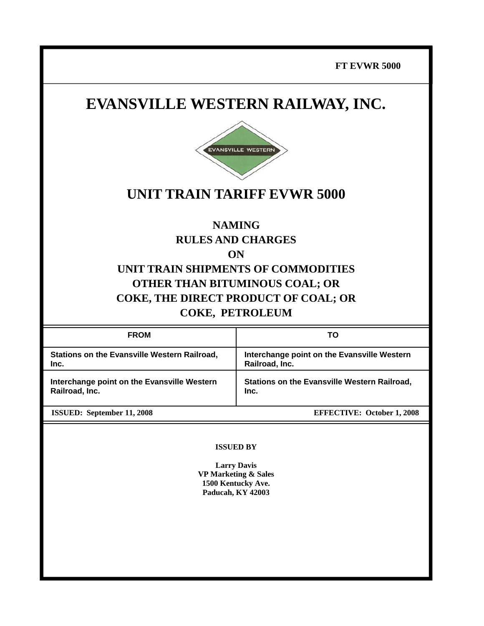**FT EVWR 5000**

# **EVANSVILLE WESTERN RAILWAY, INC.**



# **UNIT TRAIN TARIFF EVWR 5000**

# **NAMING RULES AND CHARGES**

**ON** 

# **UNIT TRAIN SHIPMENTS OF COMMODITIES OTHER THAN BITUMINOUS COAL; OR COKE, THE DIRECT PRODUCT OF COAL; OR COKE, PETROLEUM**

| <b>FROM</b>                                                   | ΤO                                                            |
|---------------------------------------------------------------|---------------------------------------------------------------|
| Stations on the Evansville Western Railroad,<br>Inc.          | Interchange point on the Evansville Western<br>Railroad, Inc. |
| Interchange point on the Evansville Western<br>Railroad, Inc. | <b>Stations on the Evansville Western Railroad,</b><br>Inc.   |
| <b>ISSUED:</b> September 11, 2008                             | <b>EFFECTIVE: October 1, 2008</b>                             |

#### **ISSUED BY**

**Larry Davis VP Marketing & Sales 1500 Kentucky Ave. Paducah, KY 42003**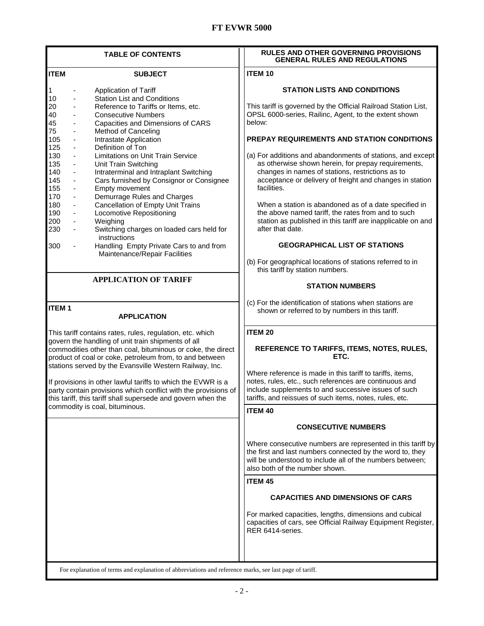## **FT EVWR 5000**

| <b>TABLE OF CONTENTS</b>                                                                                                                                                                                                                                                                                      | <b>RULES AND OTHER GOVERNING PROVISIONS</b><br><b>GENERAL RULES AND REGULATIONS</b>                                                                                                                                                        |
|---------------------------------------------------------------------------------------------------------------------------------------------------------------------------------------------------------------------------------------------------------------------------------------------------------------|--------------------------------------------------------------------------------------------------------------------------------------------------------------------------------------------------------------------------------------------|
| <b>ITEM</b><br><b>SUBJECT</b>                                                                                                                                                                                                                                                                                 | <b>ITEM 10</b>                                                                                                                                                                                                                             |
| Application of Tariff<br>1<br>10<br><b>Station List and Conditions</b><br>$\qquad \qquad \blacksquare$<br>20<br>Reference to Tariffs or Items, etc.<br>40<br><b>Consecutive Numbers</b>                                                                                                                       | <b>STATION LISTS AND CONDITIONS</b><br>This tariff is governed by the Official Railroad Station List,<br>OPSL 6000-series, Railinc, Agent, to the extent shown<br>below:                                                                   |
| 45<br>Capacities and Dimensions of CARS<br>75<br>Method of Canceling<br>-<br>105<br>Intrastate Application<br>$\qquad \qquad \blacksquare$<br>125<br>Definition of Ton<br>130<br>Limitations on Unit Train Service<br>$\overline{\phantom{a}}$<br>135<br>Unit Train Switching<br>$\qquad \qquad \blacksquare$ | PREPAY REQUIREMENTS AND STATION CONDITIONS<br>(a) For additions and abandonments of stations, and except<br>as otherwise shown herein, for prepay requirements,                                                                            |
| 140<br>Intraterminal and Intraplant Switching<br>145<br>Cars furnished by Consignor or Consignee<br>155<br>Empty movement<br>$\blacksquare$<br>170<br>Demurrage Rules and Charges<br>$\overline{\phantom{0}}$<br>180<br>Cancellation of Empty Unit Trains<br>190<br>Locomotive Repositioning<br>÷,            | changes in names of stations, restrictions as to<br>acceptance or delivery of freight and changes in station<br>facilities.<br>When a station is abandoned as of a date specified in<br>the above named tariff, the rates from and to such |
| 200<br>Weighing<br>$\qquad \qquad \blacksquare$<br>230<br>Switching charges on loaded cars held for<br>$\qquad \qquad \blacksquare$<br>instructions<br>300<br>Handling Empty Private Cars to and from<br>÷,                                                                                                   | station as published in this tariff are inapplicable on and<br>after that date.<br><b>GEOGRAPHICAL LIST OF STATIONS</b>                                                                                                                    |
| Maintenance/Repair Facilities                                                                                                                                                                                                                                                                                 | (b) For geographical locations of stations referred to in<br>this tariff by station numbers.                                                                                                                                               |
| <b>APPLICATION OF TARIFF</b>                                                                                                                                                                                                                                                                                  | <b>STATION NUMBERS</b>                                                                                                                                                                                                                     |
| <b>ITEM1</b><br><b>APPLICATION</b>                                                                                                                                                                                                                                                                            | (c) For the identification of stations when stations are<br>shown or referred to by numbers in this tariff.                                                                                                                                |
| This tariff contains rates, rules, regulation, etc. which<br>govern the handling of unit train shipments of all<br>commodities other than coal, bituminous or coke, the direct<br>product of coal or coke, petroleum from, to and between<br>stations served by the Evansville Western Railway, Inc.          | <b>ITEM 20</b><br>REFERENCE TO TARIFFS, ITEMS, NOTES, RULES,<br>ETC.<br>Where reference is made in this tariff to tariffs, items,                                                                                                          |
| If provisions in other lawful tariffs to which the EVWR is a<br>party contain provisions which conflict with the provisions of<br>this tariff, this tariff shall supersede and govern when the                                                                                                                | notes, rules, etc., such references are continuous and<br>include supplements to and successive issues of such<br>tariffs, and reissues of such items, notes, rules, etc.                                                                  |
| commodity is coal, bituminous.                                                                                                                                                                                                                                                                                | <b>ITEM 40</b>                                                                                                                                                                                                                             |
|                                                                                                                                                                                                                                                                                                               | <b>CONSECUTIVE NUMBERS</b>                                                                                                                                                                                                                 |
|                                                                                                                                                                                                                                                                                                               | Where consecutive numbers are represented in this tariff by<br>the first and last numbers connected by the word to, they<br>will be understood to include all of the numbers between;<br>also both of the number shown.                    |
|                                                                                                                                                                                                                                                                                                               | <b>ITEM 45</b><br><b>CAPACITIES AND DIMENSIONS OF CARS</b>                                                                                                                                                                                 |
|                                                                                                                                                                                                                                                                                                               | For marked capacities, lengths, dimensions and cubical<br>capacities of cars, see Official Railway Equipment Register,<br>RER 6414-series.                                                                                                 |
| For evaluation of terms and evaluation of abbreviations and reference marks, see last nage of tariff                                                                                                                                                                                                          |                                                                                                                                                                                                                                            |

For explanation of terms and explanation of abbreviations and reference marks, see last page of tariff.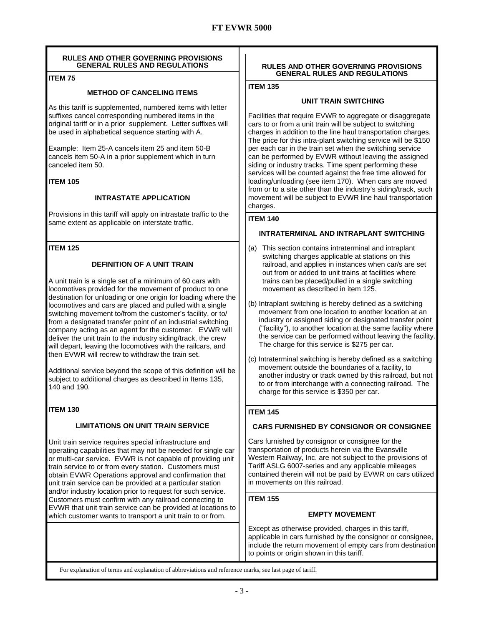#### **RULES AND OTHER GOVERNING PROVISIONS GENERAL RULES AND REGULATIONS**

### **ITEM 75**

#### **METHOD OF CANCELING ITEMS**

As this tariff is supplemented, numbered items with letter suffixes cancel corresponding numbered items in the original tariff or in a prior supplement. Letter suffixes will be used in alphabetical sequence starting with A.

Example: Item 25-A cancels item 25 and item 50-B cancels item 50-A in a prior supplement which in turn canceled item 50.

#### **ITEM 105**

#### **INTRASTATE APPLICATION**

Provisions in this tariff will apply on intrastate traffic to the same extent as applicable on interstate traffic.

#### **ITEM 125**

#### **DEFINITION OF A UNIT TRAIN**

A unit train is a single set of a minimum of 60 cars with locomotives provided for the movement of product to one destination for unloading or one origin for loading where the locomotives and cars are placed and pulled with a single switching movement to/from the customer's facility, or to/ from a designated transfer point of an industrial switching company acting as an agent for the customer. EVWR will deliver the unit train to the industry siding/track, the crew will depart, leaving the locomotives with the railcars, and then EVWR will recrew to withdraw the train set.

Additional service beyond the scope of this definition will be subject to additional charges as described in Items 135, 140 and 190.

### **ITEM 130**

### **LIMITATIONS ON UNIT TRAIN SERVICE**

Unit train service requires special infrastructure and operating capabilities that may not be needed for single car or multi-car service. EVWR is not capable of providing unit train service to or from every station. Customers must obtain EVWR Operations approval and confirmation that unit train service can be provided at a particular station and/or industry location prior to request for such service. Customers must confirm with any railroad connecting to EVWR that unit train service can be provided at locations to which customer wants to transport a unit train to or from.

#### **RULES AND OTHER GOVERNING PROVISIONS GENERAL RULES AND REGULATIONS**

**ITEM 135** 

#### **UNIT TRAIN SWITCHING**

Facilities that require EVWR to aggregate or disaggregate cars to or from a unit train will be subject to switching charges in addition to the line haul transportation charges. The price for this intra-plant switching service will be \$150 per each car in the train set when the switching service can be performed by EVWR without leaving the assigned siding or industry tracks. Time spent performing these services will be counted against the free time allowed for loading/unloading (see item 170). When cars are moved from or to a site other than the industry's siding/track, such movement will be subject to EVWR line haul transportation charges.

#### **ITEM 140**

#### **INTRATERMINAL AND INTRAPLANT SWITCHING**

- (a) This section contains intraterminal and intraplant switching charges applicable at stations on this railroad, and applies in instances when car/s are set out from or added to unit trains at facilities where trains can be placed/pulled in a single switching movement as described in item 125.
- (b) Intraplant switching is hereby defined as a switching movement from one location to another location at an industry or assigned siding or designated transfer point ("facility"), to another location at the same facility where the service can be performed without leaving the facility. The charge for this service is \$275 per car.
- (c) Intraterminal switching is hereby defined as a switching movement outside the boundaries of a facility, to another industry or track owned by this railroad, but not to or from interchange with a connecting railroad. The charge for this service is \$350 per car.

### **ITEM 145**

#### **CARS FURNISHED BY CONSIGNOR OR CONSIGNEE**

Cars furnished by consignor or consignee for the transportation of products herein via the Evansville Western Railway, Inc. are not subject to the provisions of Tariff ASLG 6007-series and any applicable mileages contained therein will not be paid by EVWR on cars utilized in movements on this railroad.

### **ITEM 155**

#### **EMPTY MOVEMENT**

Except as otherwise provided, charges in this tariff, applicable in cars furnished by the consignor or consignee, include the return movement of empty cars from destination to points or origin shown in this tariff.

For explanation of terms and explanation of abbreviations and reference marks, see last page of tariff.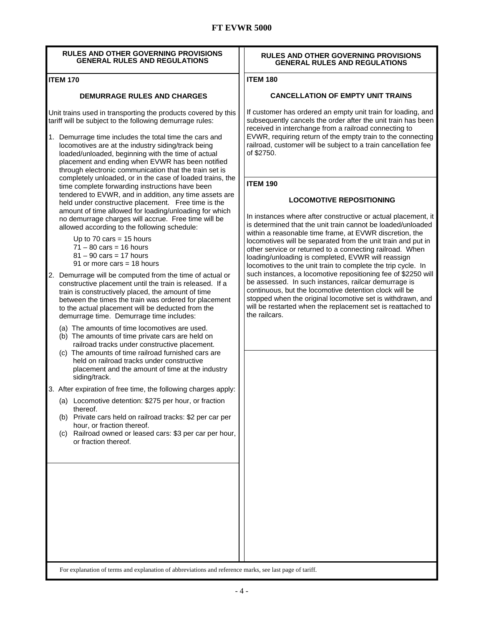| <b>RULES AND OTHER GOVERNING PROVISIONS</b><br><b>GENERAL RULES AND REGULATIONS</b>                                                                                                                                                                                                                                                                                                                           | RULES AND OTHER GOVERNING PROVISIONS<br><b>GENERAL RULES AND REGULATIONS</b>                                                                                                                                                                                                                                                                                                                  |
|---------------------------------------------------------------------------------------------------------------------------------------------------------------------------------------------------------------------------------------------------------------------------------------------------------------------------------------------------------------------------------------------------------------|-----------------------------------------------------------------------------------------------------------------------------------------------------------------------------------------------------------------------------------------------------------------------------------------------------------------------------------------------------------------------------------------------|
| <b>ITEM 170</b>                                                                                                                                                                                                                                                                                                                                                                                               | <b>ITEM 180</b>                                                                                                                                                                                                                                                                                                                                                                               |
| <b>DEMURRAGE RULES AND CHARGES</b>                                                                                                                                                                                                                                                                                                                                                                            | <b>CANCELLATION OF EMPTY UNIT TRAINS</b>                                                                                                                                                                                                                                                                                                                                                      |
| Unit trains used in transporting the products covered by this<br>tariff will be subject to the following demurrage rules:<br>1. Demurrage time includes the total time the cars and<br>locomotives are at the industry siding/track being<br>loaded/unloaded, beginning with the time of actual<br>placement and ending when EVWR has been notified<br>through electronic communication that the train set is | If customer has ordered an empty unit train for loading, and<br>subsequently cancels the order after the unit train has been<br>received in interchange from a railroad connecting to<br>EVWR, requiring return of the empty train to the connecting<br>railroad, customer will be subject to a train cancellation fee<br>of \$2750.                                                          |
| completely unloaded, or in the case of loaded trains, the<br>time complete forwarding instructions have been                                                                                                                                                                                                                                                                                                  | <b>ITEM 190</b>                                                                                                                                                                                                                                                                                                                                                                               |
| tendered to EVWR, and in addition, any time assets are                                                                                                                                                                                                                                                                                                                                                        | <b>LOCOMOTIVE REPOSITIONING</b>                                                                                                                                                                                                                                                                                                                                                               |
| held under constructive placement. Free time is the<br>amount of time allowed for loading/unloading for which<br>no demurrage charges will accrue. Free time will be<br>allowed according to the following schedule:<br>Up to 70 cars = 15 hours<br>$71 - 80$ cars = 16 hours<br>$81 - 90$ cars = 17 hours<br>91 or more cars = $18$ hours                                                                    | In instances where after constructive or actual placement, it<br>is determined that the unit train cannot be loaded/unloaded<br>within a reasonable time frame, at EVWR discretion, the<br>locomotives will be separated from the unit train and put in<br>other service or returned to a connecting railroad. When<br>loading/unloading is completed, EVWR will reassign                     |
| Demurrage will be computed from the time of actual or<br>2.<br>constructive placement until the train is released. If a<br>train is constructively placed, the amount of time<br>between the times the train was ordered for placement<br>to the actual placement will be deducted from the<br>demurrage time. Demurrage time includes:                                                                       | locomotives to the unit train to complete the trip cycle. In<br>such instances, a locomotive repositioning fee of \$2250 will<br>be assessed. In such instances, railcar demurrage is<br>continuous, but the locomotive detention clock will be<br>stopped when the original locomotive set is withdrawn, and<br>will be restarted when the replacement set is reattached to<br>the railcars. |
| (a) The amounts of time locomotives are used.<br>(b) The amounts of time private cars are held on<br>railroad tracks under constructive placement.<br>(c) The amounts of time railroad furnished cars are<br>held on railroad tracks under constructive<br>placement and the amount of time at the industry<br>siding/track.                                                                                  |                                                                                                                                                                                                                                                                                                                                                                                               |
| 3.<br>After expiration of free time, the following charges apply:                                                                                                                                                                                                                                                                                                                                             |                                                                                                                                                                                                                                                                                                                                                                                               |
| (a) Locomotive detention: \$275 per hour, or fraction<br>thereof.<br>(b) Private cars held on railroad tracks: \$2 per car per<br>hour, or fraction thereof.<br>Railroad owned or leased cars: \$3 per car per hour,<br>(C) =<br>or fraction thereof.                                                                                                                                                         |                                                                                                                                                                                                                                                                                                                                                                                               |
|                                                                                                                                                                                                                                                                                                                                                                                                               |                                                                                                                                                                                                                                                                                                                                                                                               |
|                                                                                                                                                                                                                                                                                                                                                                                                               |                                                                                                                                                                                                                                                                                                                                                                                               |
|                                                                                                                                                                                                                                                                                                                                                                                                               |                                                                                                                                                                                                                                                                                                                                                                                               |
|                                                                                                                                                                                                                                                                                                                                                                                                               |                                                                                                                                                                                                                                                                                                                                                                                               |
|                                                                                                                                                                                                                                                                                                                                                                                                               |                                                                                                                                                                                                                                                                                                                                                                                               |
|                                                                                                                                                                                                                                                                                                                                                                                                               |                                                                                                                                                                                                                                                                                                                                                                                               |

For explanation of terms and explanation of abbreviations and reference marks, see last page of tariff.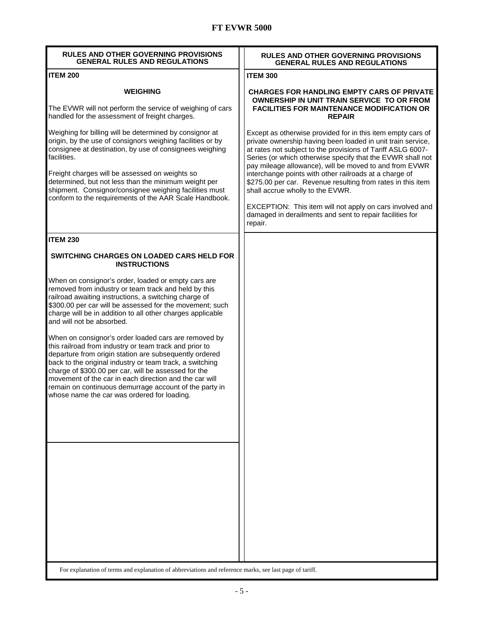## **FT EVWR 5000**

| <b>RULES AND OTHER GOVERNING PROVISIONS</b><br><b>GENERAL RULES AND REGULATIONS</b>                                                                                                                                                                                                                                                                                                                                                                             | <b>RULES AND OTHER GOVERNING PROVISIONS</b><br><b>GENERAL RULES AND REGULATIONS</b>                                                                                                                                                                                                                                                                                                                                                                                                                                                                                                                               |
|-----------------------------------------------------------------------------------------------------------------------------------------------------------------------------------------------------------------------------------------------------------------------------------------------------------------------------------------------------------------------------------------------------------------------------------------------------------------|-------------------------------------------------------------------------------------------------------------------------------------------------------------------------------------------------------------------------------------------------------------------------------------------------------------------------------------------------------------------------------------------------------------------------------------------------------------------------------------------------------------------------------------------------------------------------------------------------------------------|
| <b>ITEM 200</b>                                                                                                                                                                                                                                                                                                                                                                                                                                                 | <b>ITEM 300</b>                                                                                                                                                                                                                                                                                                                                                                                                                                                                                                                                                                                                   |
| <b>WEIGHING</b><br>The EVWR will not perform the service of weighing of cars<br>handled for the assessment of freight charges.                                                                                                                                                                                                                                                                                                                                  | <b>CHARGES FOR HANDLING EMPTY CARS OF PRIVATE</b><br><b>OWNERSHIP IN UNIT TRAIN SERVICE TO OR FROM</b><br><b>FACILITIES FOR MAINTENANCE MODIFICATION OR</b><br><b>REPAIR</b>                                                                                                                                                                                                                                                                                                                                                                                                                                      |
| Weighing for billing will be determined by consignor at<br>origin, by the use of consignors weighing facilities or by<br>consignee at destination, by use of consignees weighing<br>facilities.<br>Freight charges will be assessed on weights so<br>determined, but not less than the minimum weight per<br>shipment. Consignor/consignee weighing facilities must<br>conform to the requirements of the AAR Scale Handbook.                                   | Except as otherwise provided for in this item empty cars of<br>private ownership having been loaded in unit train service,<br>at rates not subject to the provisions of Tariff ASLG 6007-<br>Series (or which otherwise specify that the EVWR shall not<br>pay mileage allowance), will be moved to and from EVWR<br>interchange points with other railroads at a charge of<br>\$275.00 per car. Revenue resulting from rates in this item<br>shall accrue wholly to the EVWR.<br>EXCEPTION: This item will not apply on cars involved and<br>damaged in derailments and sent to repair facilities for<br>repair. |
| <b>ITEM 230</b>                                                                                                                                                                                                                                                                                                                                                                                                                                                 |                                                                                                                                                                                                                                                                                                                                                                                                                                                                                                                                                                                                                   |
| <b>SWITCHING CHARGES ON LOADED CARS HELD FOR</b><br><b>INSTRUCTIONS</b>                                                                                                                                                                                                                                                                                                                                                                                         |                                                                                                                                                                                                                                                                                                                                                                                                                                                                                                                                                                                                                   |
| When on consignor's order, loaded or empty cars are<br>removed from industry or team track and held by this<br>railroad awaiting instructions, a switching charge of<br>\$300.00 per car will be assessed for the movement; such<br>charge will be in addition to all other charges applicable<br>and will not be absorbed.                                                                                                                                     |                                                                                                                                                                                                                                                                                                                                                                                                                                                                                                                                                                                                                   |
| When on consignor's order loaded cars are removed by<br>this railroad from industry or team track and prior to<br>departure from origin station are subsequently ordered<br>back to the original industry or team track, a switching<br>charge of \$300.00 per car, will be assessed for the<br>movement of the car in each direction and the car will<br>remain on continuous demurrage account of the party in<br>whose name the car was ordered for loading. |                                                                                                                                                                                                                                                                                                                                                                                                                                                                                                                                                                                                                   |
|                                                                                                                                                                                                                                                                                                                                                                                                                                                                 |                                                                                                                                                                                                                                                                                                                                                                                                                                                                                                                                                                                                                   |
| For explanation of terms and explanation of abbreviations and reference marks, see last page of tariff.                                                                                                                                                                                                                                                                                                                                                         |                                                                                                                                                                                                                                                                                                                                                                                                                                                                                                                                                                                                                   |